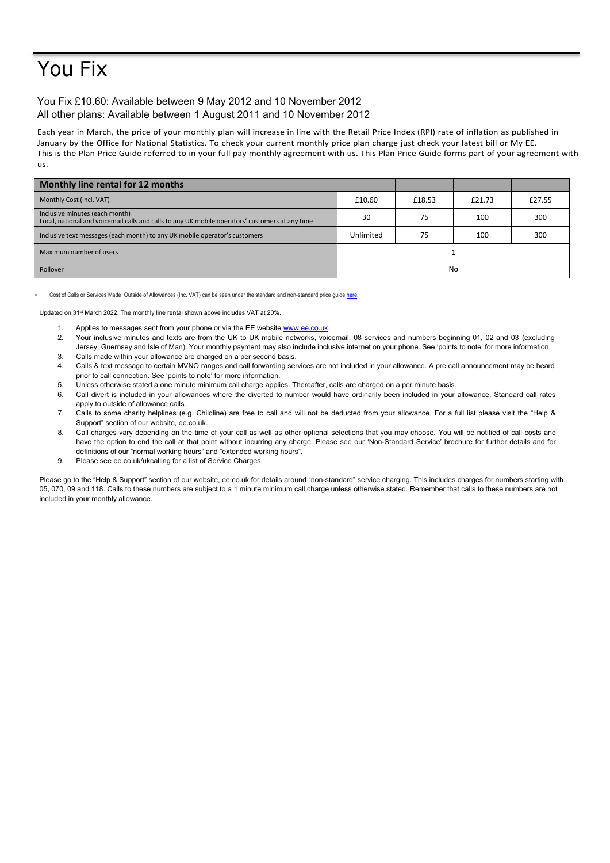## You Fix

## You Fix £10.60: Available between 9 May 2012 and 10 November 2012 All other plans: Available between 1 August 2011 and 10 November 2012

Each year in March, the price of your monthly plan will increase in line with the Retail Price Index (RPI) rate of inflation as published in January by the Office for National Statistics. To check your current monthly price plan charge just check your latest bill or My EE. This is the Plan Price Guide referred to in your full pay monthly agreement with us. This Plan Price Guide forms part of your agreement with us.

| Monthly line rental for 12 months                                                                                                 |           |        |        |        |
|-----------------------------------------------------------------------------------------------------------------------------------|-----------|--------|--------|--------|
| Monthly Cost (incl. VAT)                                                                                                          | £10.60    | £18.53 | £21.73 | £27.55 |
| Inclusive minutes (each month)<br>Local, national and voicemail calls and calls to any UK mobile operators' customers at any time | 30        | 75     | 100    | 300    |
| Inclusive text messages (each month) to any UK mobile operator's customers                                                        | Unlimited | 75     | 100    | 300    |
| Maximum number of users                                                                                                           |           |        |        |        |
| Rollover                                                                                                                          | No        |        |        |        |

Cost of Calls or Services Made Outside of Allowances (Inc. VAT) can be seen under the standard and non-standard price guide here

Updated on 31st March 2022. The monthly line rental shown above includes VAT at 20%.

- 1. Applies to messages sent from your phone or via the EE website [www.ee.co.uk.](http://www.ee.co.uk/)
- 2. Your inclusive minutes and texts are from the UK to UK mobile networks, voicemail, 08 services and numbers beginning 01, 02 and 03 (excluding Jersey, Guernsey and Isle of Man). Your monthly payment may also include inclusive internet on your phone. See 'points to note' for more information.
- 3. Calls made within your allowance are charged on a per second basis.
- 4. Calls & text message to certain MVNO ranges and call forwarding services are not included in your allowance. A pre call announcement may be heard prior to call connection. See 'points to note' for more information.
- 5. Unless otherwise stated a one minute minimum call charge applies. Thereafter, calls are charged on a per minute basis.
- 6. Call divert is included in your allowances where the diverted to number would have ordinarily been included in your allowance. Standard call rates apply to outside of allowance calls.
- 7. Calls to some charity helplines (e.g. Childline) are free to call and will not be deducted from your allowance. For a full list please visit the "Help & Support" section of our website, ee.co.uk.
- 8. Call charges vary depending on the time of your call as well as other optional selections that you may choose. You will be notified of call costs and have the option to end the call at that point without incurring any charge. Please see our 'Non-Standard Service' brochure for further details and for definitions of our "normal working hours" and "extended working hours".
- 9. Please see ee.co.uk/ukcalling for a list of Service Charges.

Please go to the "Help & Support" section of our website, ee.co.uk for details around "non-standard" service charging. This includes charges for numbers starting with 05, 070, 09 and 118. Calls to these numbers are subject to a 1 minute minimum call charge unless otherwise stated. Remember that calls to these numbers are not included in your monthly allowance.